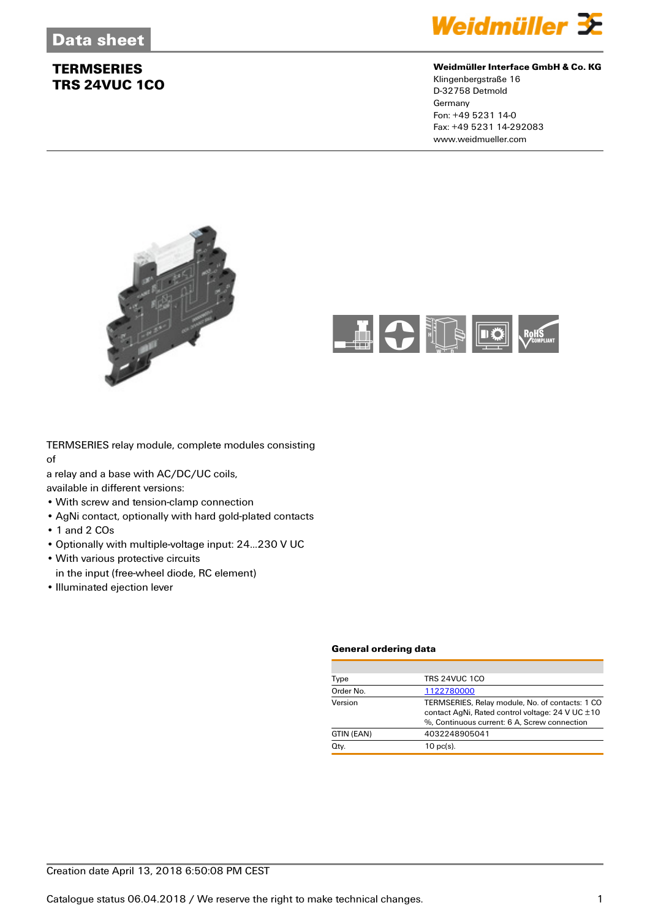

### **Weidmüller Interface GmbH & Co. KG**

Klingenbergstraße 16 D-32758 Detmold Germany Fon: +49 5231 14-0 Fax: +49 5231 14-292083 www.weidmueller.com





TERMSERIES relay module, complete modules consisting of

a relay and a base with AC/DC/UC coils,

available in different versions:

- With screw and tension-clamp connection
- AgNi contact, optionally with hard gold-plated contacts
- 1 and 2 COs
- Optionally with multiple-voltage input: 24...230 V UC
- With various protective circuits
- in the input (free-wheel diode, RC element)
- Illuminated ejection lever

#### **General ordering data**

| <b>TRS 24VUC 1CO</b><br>Type                                                                                                                                   |
|----------------------------------------------------------------------------------------------------------------------------------------------------------------|
|                                                                                                                                                                |
| Order No.<br>1122780000                                                                                                                                        |
| Version<br>TERMSERIES, Relay module, No. of contacts: 1 CO<br>contact AgNi, Rated control voltage: 24 V UC ±10<br>%. Continuous current: 6 A. Screw connection |
| 4032248905041<br>GTIN (EAN)                                                                                                                                    |
| Qty.<br>$10$ pc(s).                                                                                                                                            |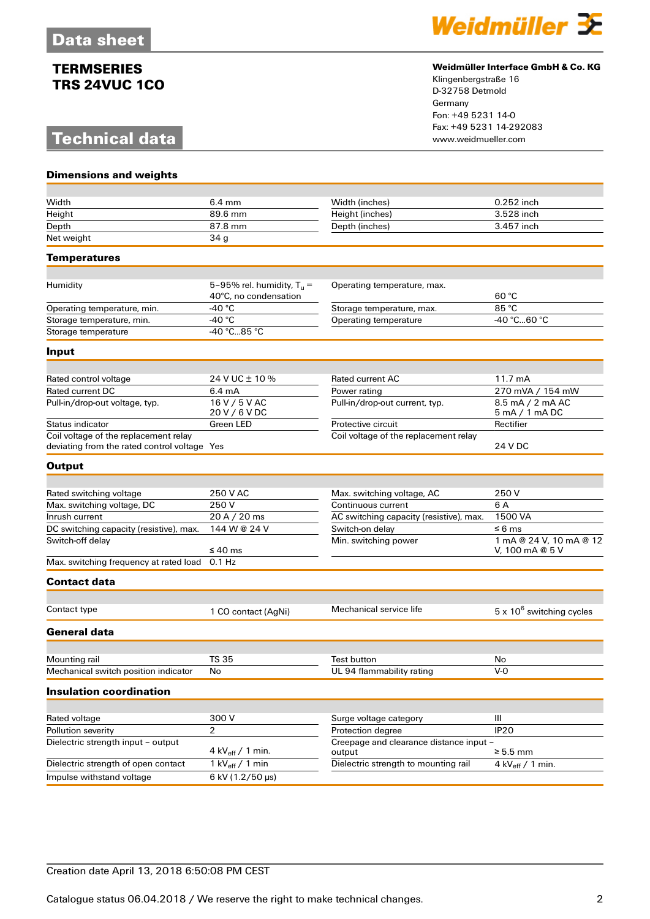# **Technical data**



### **Weidmüller Interface GmbH & Co. KG**

Klingenbergstraße 16 D-32758 Detmold Germany Fon: +49 5231 14-0 Fax: +49 5231 14-292083

| <b>Dimensions and weights</b>                                                         |                                                       |                                                |                                            |
|---------------------------------------------------------------------------------------|-------------------------------------------------------|------------------------------------------------|--------------------------------------------|
|                                                                                       |                                                       |                                                |                                            |
| Width                                                                                 | $6.4 \text{ mm}$                                      | Width (inches)                                 | 0.252 inch                                 |
| Height                                                                                | 89.6 mm                                               | Height (inches)                                | 3.528 inch                                 |
| Depth                                                                                 | $\overline{8}$ 7.8 mm                                 | Depth (inches)                                 | 3.457 inch                                 |
| Net weight                                                                            | 34 <sub>g</sub>                                       |                                                |                                            |
| Temperatures                                                                          |                                                       |                                                |                                            |
|                                                                                       |                                                       |                                                |                                            |
| Humidity                                                                              | 5-95% rel. humidity, $T_u =$<br>40°C, no condensation | Operating temperature, max.                    | 60 °C                                      |
| Operating temperature, min.                                                           | -40 $^{\circ}$ C                                      | Storage temperature, max.                      | 85 °C                                      |
| Storage temperature, min.                                                             | -40 $^{\circ}$ C                                      | Operating temperature                          | -40 °C60 °C                                |
| Storage temperature                                                                   | $-40 °C85 °C$                                         |                                                |                                            |
| Input                                                                                 |                                                       |                                                |                                            |
|                                                                                       | 24 V UC ± 10 %                                        | Rated current AC                               | 11.7 mA                                    |
| Rated control voltage<br>Rated current DC                                             | 6.4 mA                                                |                                                | 270 mVA / 154 mW                           |
|                                                                                       | 16 V / 5 V AC                                         | Power rating<br>Pull-in/drop-out current, typ. | 8.5 mA / 2 mA AC                           |
| Pull-in/drop-out voltage, typ.                                                        | 20 V / 6 V DC                                         |                                                | 5 mA / 1 mA DC                             |
| Status indicator                                                                      | Green LED                                             | Protective circuit                             | Rectifier                                  |
| Coil voltage of the replacement relay<br>deviating from the rated control voltage Yes |                                                       | Coil voltage of the replacement relay          | 24 V DC                                    |
| <b>Output</b>                                                                         |                                                       |                                                |                                            |
|                                                                                       |                                                       |                                                |                                            |
| Rated switching voltage                                                               | 250 V AC                                              | Max. switching voltage, AC                     | 250V                                       |
| Max. switching voltage, DC                                                            | 250V                                                  | Continuous current                             | 6 A                                        |
| Inrush current                                                                        | 20 A / 20 ms                                          | AC switching capacity (resistive), max.        | 1500 VA                                    |
| DC switching capacity (resistive), max.                                               | 144 W @ 24 V                                          | Switch-on delay                                | ≤ 6 ms                                     |
| Switch-off delay                                                                      | $\leq 40$ ms                                          | Min. switching power                           | 1 mA @ 24 V, 10 mA @ 12<br>V, 100 mA @ 5 V |
| Max. switching frequency at rated load                                                | $0.1$ Hz                                              |                                                |                                            |
| <b>Contact data</b>                                                                   |                                                       |                                                |                                            |
| Contact type                                                                          |                                                       | Mechanical service life                        | $5 \times 10^6$ switching cycles           |
|                                                                                       | 1 CO contact (AgNi)                                   |                                                |                                            |
| <b>General data</b>                                                                   |                                                       |                                                |                                            |
| Mounting rail                                                                         | <b>TS 35</b>                                          | Test button                                    | No                                         |
| Mechanical switch position indicator                                                  | No                                                    | UL 94 flammability rating                      | V-0                                        |
|                                                                                       |                                                       |                                                |                                            |
| <b>Insulation coordination</b>                                                        |                                                       |                                                |                                            |
| Rated voltage                                                                         | 300V                                                  | Surge voltage category                         | Ш                                          |
| Pollution severity                                                                    | $\overline{2}$                                        | Protection degree                              | <b>IP20</b>                                |
| Dielectric strength input - output                                                    |                                                       | Creepage and clearance distance input -        |                                            |
|                                                                                       | 4 kV $_{\text{eff}}$ / 1 min.                         | output                                         | $\geq 5.5$ mm                              |
| Dielectric strength of open contact                                                   | 1 kV $_{\text{eff}}$ / 1 min                          | Dielectric strength to mounting rail           | 4 kV $_{\text{eff}}$ / 1 min.              |
| Impulse withstand voltage                                                             | 6 kV (1.2/50 µs)                                      |                                                |                                            |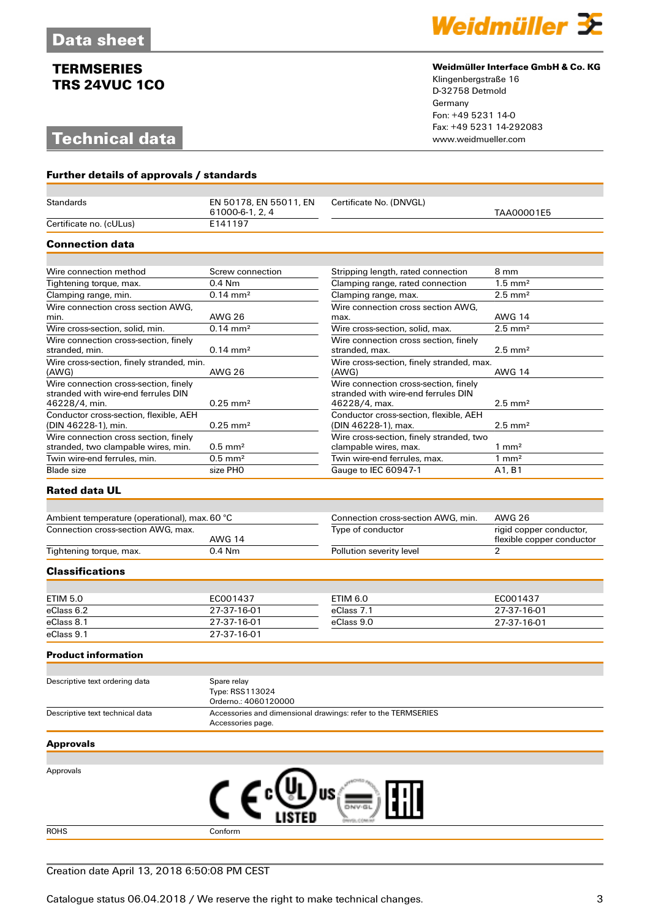# **Technical data**



#### **Weidmüller Interface GmbH & Co. KG**

Klingenbergstraße 16 D-32758 Detmold Germany Fon: +49 5231 14-0 Fax: +49 5231 14-292083

| <b>Further details of approvals / standards</b>               |                                                        |                                                               |                                                     |
|---------------------------------------------------------------|--------------------------------------------------------|---------------------------------------------------------------|-----------------------------------------------------|
| <b>Standards</b>                                              | EN 50178, EN 55011, EN                                 | Certificate No. (DNVGL)                                       |                                                     |
|                                                               | 61000-6-1, 2, 4                                        |                                                               | TAA00001E5                                          |
| Certificate no. (cULus)                                       | E141197                                                |                                                               |                                                     |
| <b>Connection data</b>                                        |                                                        |                                                               |                                                     |
|                                                               |                                                        |                                                               |                                                     |
| Wire connection method                                        | Screw connection                                       | Stripping length, rated connection                            | 8 mm                                                |
| Tightening torque, max.                                       | $0.4$ Nm                                               | Clamping range, rated connection                              | $1.5$ mm <sup>2</sup>                               |
| Clamping range, min.                                          | $0.14 \, \text{mm}^2$                                  | Clamping range, max.                                          | $2.5 \text{ mm}^2$                                  |
| Wire connection cross section AWG.<br>min.                    | <b>AWG 26</b>                                          | Wire connection cross section AWG,<br>max.                    | <b>AWG 14</b>                                       |
| Wire cross-section, solid, min.                               | $0.14 \, \text{mm}^2$                                  | Wire cross-section, solid, max.                               | $2.5$ mm <sup>2</sup>                               |
| Wire connection cross-section, finely                         |                                                        | Wire connection cross section, finely                         |                                                     |
| stranded, min.                                                | $0.14 \, \text{mm}^2$                                  | stranded, max.                                                | $2.5$ mm <sup>2</sup>                               |
| Wire cross-section, finely stranded, min.<br>(AWG)            | AWG 26                                                 | Wire cross-section, finely stranded, max.<br>(AWG)            | <b>AWG 14</b>                                       |
| Wire connection cross-section, finely                         |                                                        | Wire connection cross-section, finely                         |                                                     |
| stranded with wire-end ferrules DIN<br>46228/4, min.          | $0.25$ mm <sup>2</sup>                                 | stranded with wire-end ferrules DIN<br>46228/4, max.          | $2.5 \text{ mm}^2$                                  |
| Conductor cross-section, flexible, AEH<br>(DIN 46228-1), min. | $0.25$ mm <sup>2</sup>                                 | Conductor cross-section, flexible, AEH<br>(DIN 46228-1), max. | $2.5 \text{ mm}^2$                                  |
| Wire connection cross section, finely                         |                                                        | Wire cross-section, finely stranded, two                      |                                                     |
| stranded, two clampable wires, min.                           | $0.5$ mm <sup>2</sup><br>$0.5$ mm <sup>2</sup>         | clampable wires, max.<br>Twin wire-end ferrules, max.         | $1 \text{ mm}^2$                                    |
| Twin wire-end ferrules, min.<br><b>Blade size</b>             | size PHO                                               | Gauge to IEC 60947-1                                          | $1 \text{ mm}^2$<br>A <sub>1</sub> , B <sub>1</sub> |
|                                                               |                                                        |                                                               |                                                     |
| <b>Rated data UL</b>                                          |                                                        |                                                               |                                                     |
| Ambient temperature (operational), max. 60 °C                 |                                                        | Connection cross-section AWG, min.                            | <b>AWG 26</b>                                       |
| Connection cross-section AWG, max.                            |                                                        | Type of conductor                                             | rigid copper conductor,                             |
|                                                               | <b>AWG 14</b>                                          |                                                               | flexible copper conductor                           |
| Tightening torque, max.                                       | $0.4$ Nm                                               | Pollution severity level                                      | $\overline{2}$                                      |
| <b>Classifications</b>                                        |                                                        |                                                               |                                                     |
|                                                               |                                                        |                                                               |                                                     |
| <b>ETIM 5.0</b>                                               | EC001437                                               | <b>ETIM 6.0</b>                                               | EC001437                                            |
| eClass 6.2                                                    | 27-37-16-01                                            | eClass 7.1                                                    | 27-37-16-01                                         |
| eClass 8.1                                                    | 27-37-16-01                                            | eClass 9.0                                                    | 27-37-16-01                                         |
| eClass 9.1                                                    | 27-37-16-01                                            |                                                               |                                                     |
| <b>Product information</b>                                    |                                                        |                                                               |                                                     |
|                                                               |                                                        |                                                               |                                                     |
| Descriptive text ordering data                                | Spare relay<br>Type: RSS113024<br>Orderno.: 4060120000 |                                                               |                                                     |
| Descriptive text technical data                               | Accessories page.                                      | Accessories and dimensional drawings: refer to the TERMSERIES |                                                     |
| <b>Approvals</b>                                              |                                                        |                                                               |                                                     |
|                                                               |                                                        |                                                               |                                                     |
| Approvals                                                     |                                                        |                                                               |                                                     |
|                                                               |                                                        |                                                               |                                                     |
|                                                               | CΕ                                                     | US A                                                          |                                                     |
|                                                               |                                                        |                                                               |                                                     |
|                                                               |                                                        |                                                               |                                                     |

ROHS Conform

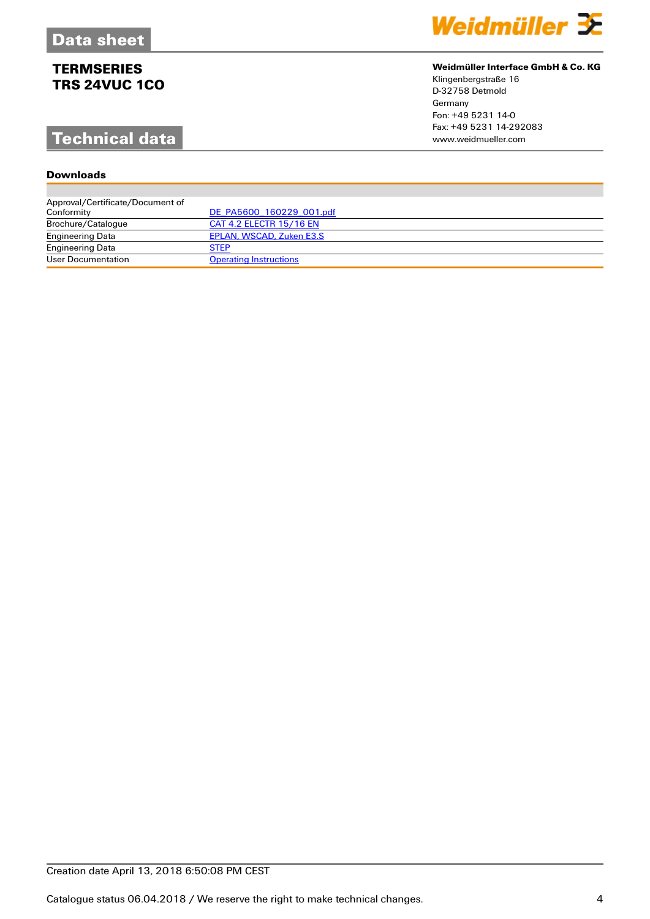# **Technical data**

## **Downloads**

| Weidmüller $\mathbf \Xi$ |  |  |
|--------------------------|--|--|
|                          |  |  |

## **Weidmüller Interface GmbH & Co. KG**

Klingenbergstraße 16 D-32758 Detmold Germany Fon: +49 5231 14-0 Fax: +49 5231 14-292083

| Approval/Certificate/Document of |                               |
|----------------------------------|-------------------------------|
| Conformity                       | DE PA5600 160229 001.pdf      |
| Brochure/Catalogue               | CAT 4.2 ELECTR 15/16 EN       |
| <b>Engineering Data</b>          | EPLAN, WSCAD, Zuken E3.S      |
| <b>Engineering Data</b>          | <b>STEP</b>                   |
| User Documentation               | <b>Operating Instructions</b> |

## Creation date April 13, 2018 6:50:08 PM CEST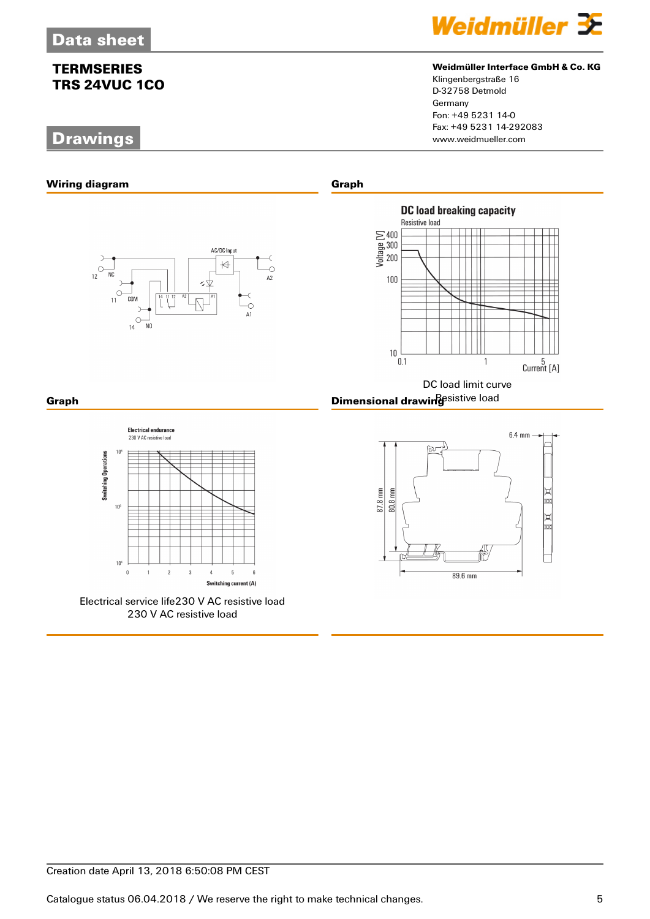# **Drawings**



## **Weidmüller Interface GmbH & Co. KG**

Klingenbergstraße 16 D-32758 Detmold Germany Fon: +49 5231 14-0 Fax: +49 5231 14-292083